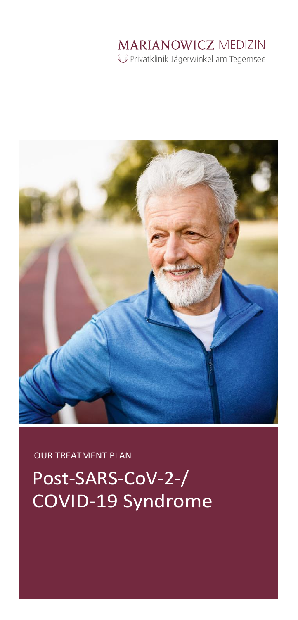# **MARIANOWICZ MEDIZIN**

Privatklinik Jägerwinkel am Tegernsee



OUR TREATMENT PLAN

Post-SARS-CoV-2-/ COVID-19 Syndrome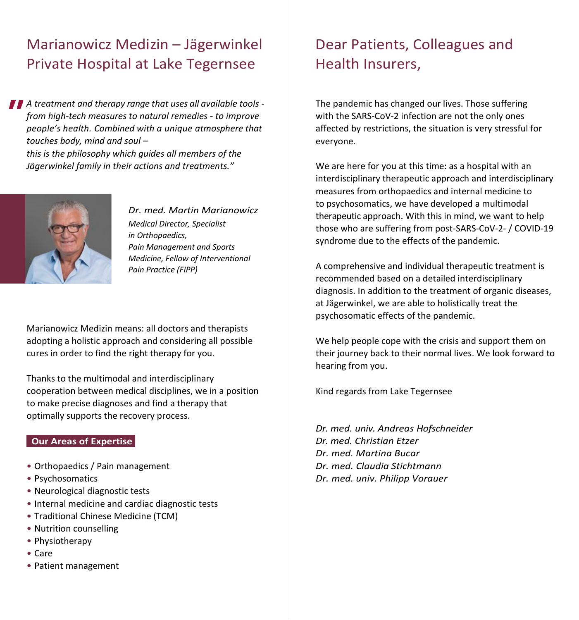### Marianowicz Medizin – Jägerwinkel Private Hospital at Lake Tegernsee

*A treatment and therapy range that uses all available tools from high-tech measures to natural remedies - to improve people's health. Combined with a unique atmosphere that touches body, mind and soul – this is the philosophy which guides all members of the Jägerwinkel family in their actions and treatments."*



*Dr. med. Martin Marianowicz Medical Director, Specialist in Orthopaedics, Pain Management and Sports Medicine, Fellow of Interventional Pain Practice (FIPP)*

Marianowicz Medizin means: all doctors and therapists adopting a holistic approach and considering all possible cures in order to find the right therapy for you.

Thanks to the multimodal and interdisciplinary cooperation between medical disciplines, we in a position to make precise diagnoses and find a therapy that optimally supports the recovery process.

#### **Our Areas of Expertise**

- Orthopaedics / Pain management
- Psychosomatics
- Neurological diagnostic tests
- Internal medicine and cardiac diagnostic tests
- Traditional Chinese Medicine (TCM)
- Nutrition counselling
- Physiotherapy
- Care
- Patient management

### Dear Patients, Colleagues and Health Insurers,

The pandemic has changed our lives. Those suffering with the SARS-CoV-2 infection are not the only ones affected by restrictions, the situation is very stressful for everyone.

We are here for you at this time: as a hospital with an interdisciplinary therapeutic approach and interdisciplinary measures from orthopaedics and internal medicine to to psychosomatics, we have developed a multimodal therapeutic approach. With this in mind, we want to help those who are suffering from post-SARS-CoV-2- / COVID-19 syndrome due to the effects of the pandemic.

A comprehensive and individual therapeutic treatment is recommended based on a detailed interdisciplinary diagnosis. In addition to the treatment of organic diseases, at Jägerwinkel, we are able to holistically treat the psychosomatic effects of the pandemic.

We help people cope with the crisis and support them on their journey back to their normal lives. We look forward to hearing from you.

Kind regards from Lake Tegernsee

*Dr. med. univ. Andreas Hofschneider Dr. med. Christian Etzer Dr. med. Martina Bucar Dr. med. Claudia Stichtmann Dr. med. univ. Philipp Vorauer*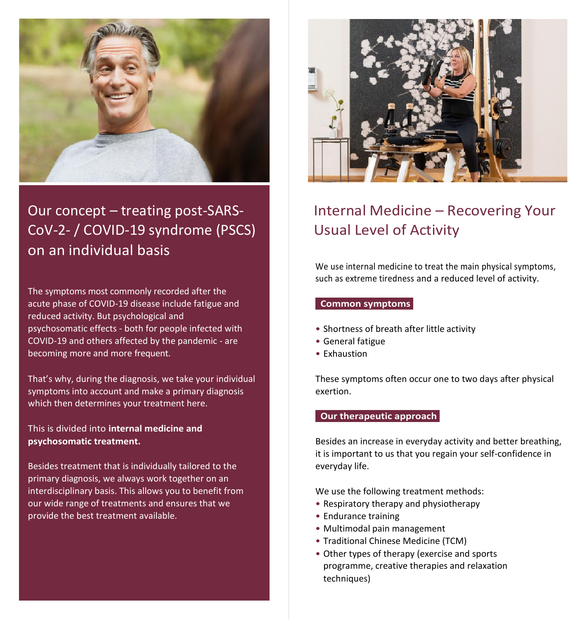

Our concept – treating post-SARS-CoV-2- / COVID-19 syndrome (PSCS) on an individual basis

The symptoms most commonly recorded after the acute phase of COVID-19 disease include fatigue and reduced activity. But psychological and psychosomatic effects - both for people infected with COVID-19 and others affected by the pandemic - are becoming more and more frequent.

That's why, during the diagnosis, we take your individual symptoms into account and make a primary diagnosis which then determines your treatment here.

This is divided into **internal medicine and psychosomatic treatment.**

Besides treatment that is individually tailored to the primary diagnosis, we always work together on an interdisciplinary basis. This allows you to benefit from our wide range of treatments and ensures that we provide the best treatment available.



## Internal Medicine – Recovering Your Usual Level of Activity

We use internal medicine to treat the main physical symptoms, such as extreme tiredness and a reduced level of activity.

#### **Common symptoms**

- Shortness of breath after little activity
- General fatigue
- Exhaustion

These symptoms often occur one to two days after physical exertion.

#### **Our therapeutic approach**

Besides an increase in everyday activity and better breathing, it is important to us that you regain your self-confidence in everyday life.

We use the following treatment methods:

- Respiratory therapy and physiotherapy
- Endurance training
- Multimodal pain management
- Traditional Chinese Medicine (TCM)
- Other types of therapy (exercise and sports programme, creative therapies and relaxation techniques)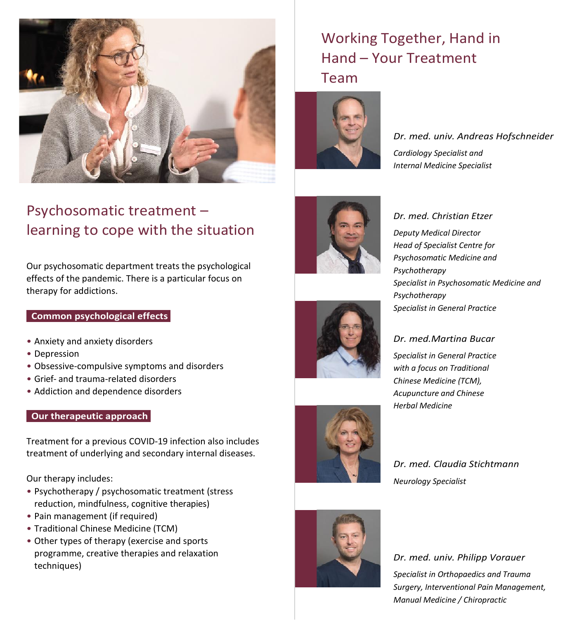

### Psychosomatic treatment – learning to cope with the situation

Our psychosomatic department treats the psychological effects of the pandemic. There is a particular focus on therapy for addictions.

#### **Common psychological effects**

- Anxiety and anxiety disorders
- Depression
- Obsessive-compulsive symptoms and disorders
- Grief- and trauma-related disorders
- Addiction and dependence disorders

#### **Our therapeutic approach**

Treatment for a previous COVID-19 infection also includes treatment of underlying and secondary internal diseases.

Our therapy includes:

- Psychotherapy / psychosomatic treatment (stress reduction, mindfulness, cognitive therapies)
- Pain management (if required)
- Traditional Chinese Medicine (TCM)
- Other types of therapy (exercise and sports programme, creative therapies and relaxation techniques)

### Working Together, Hand in Hand – Your Treatment Team



*Dr. med. univ. Andreas Hofschneider Cardiology Specialist and Internal Medicine Specialist*



### *Dr. med. Christian Etzer Deputy Medical Director Head of Specialist Centre for*

*Psychosomatic Medicine and Psychotherapy Specialist in Psychosomatic Medicine and Psychotherapy Specialist in General Practice*

#### *Dr. med.Martina Bucar*

*Specialist in General Practice with a focus on Traditional Chinese Medicine (TCM), Acupuncture and Chinese Herbal Medicine*

### *Dr. med. Claudia Stichtmann Neurology Specialist*



*Dr. med. univ. Philipp Vorauer Specialist in Orthopaedics and Trauma Surgery, Interventional Pain Management, Manual Medicine / Chiropractic*